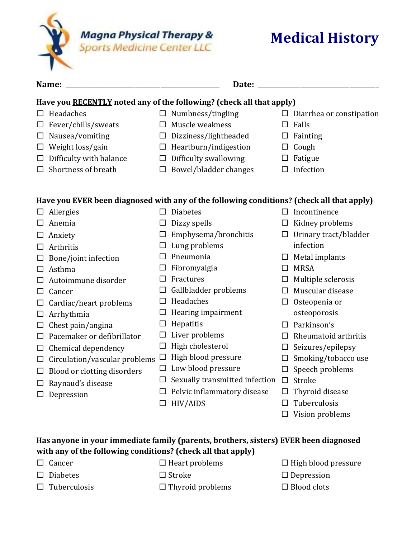

## **Medical History**

| Name:                                                                                     | Date:  |                                |        |                                 |  |  |  |  |  |
|-------------------------------------------------------------------------------------------|--------|--------------------------------|--------|---------------------------------|--|--|--|--|--|
| Have you RECENTLY noted any of the following? (check all that apply)                      |        |                                |        |                                 |  |  |  |  |  |
| Headaches<br>□                                                                            |        | $\Box$ Numbness/tingling       |        | $\Box$ Diarrhea or constipation |  |  |  |  |  |
| Fever/chills/sweats<br>$\Box$                                                             |        | Muscle weakness                | ப      | Falls                           |  |  |  |  |  |
| Nausea/vomiting<br>ப                                                                      | $\Box$ | Dizziness/lightheaded          | □      | Fainting                        |  |  |  |  |  |
| Weight loss/gain<br>ப                                                                     |        | $\Box$ Heartburn/indigestion   | ⊔      | Cough                           |  |  |  |  |  |
| Difficulty with balance<br>ப                                                              | $\Box$ | Difficulty swallowing          | ப      | Fatigue                         |  |  |  |  |  |
| Shortness of breath                                                                       | $\Box$ | Bowel/bladder changes          | ப      | Infection                       |  |  |  |  |  |
| Have you EVER been diagnosed with any of the following conditions? (check all that apply) |        |                                |        |                                 |  |  |  |  |  |
| $\Box$ Allergies                                                                          | $\Box$ | <b>Diabetes</b>                | $\Box$ | Incontinence                    |  |  |  |  |  |
| Anemia<br>ΙI                                                                              | □      | Dizzy spells                   | □      | Kidney problems                 |  |  |  |  |  |
| Anxiety<br>ப                                                                              | □      | Emphysema/bronchitis           | □      | Urinary tract/bladder           |  |  |  |  |  |
| Arthritis<br>ப                                                                            | ப      | Lung problems                  |        | infection                       |  |  |  |  |  |
| Bone/joint infection<br>ப                                                                 |        | Pneumonia                      | $\Box$ | Metal implants                  |  |  |  |  |  |
| Asthma<br>$\sqcup$                                                                        | ப      | Fibromyalgia                   | □      | <b>MRSA</b>                     |  |  |  |  |  |
| Autoimmune disorder                                                                       |        | Fractures                      | □      | Multiple sclerosis              |  |  |  |  |  |
| Cancer<br>ΙI                                                                              | ப      | Gallbladder problems           | □      | Muscular disease                |  |  |  |  |  |
| Cardiac/heart problems<br>⊔                                                               |        | Headaches                      | ப      | Osteopenia or                   |  |  |  |  |  |
| Arrhythmia<br>$\Box$                                                                      | ப      | Hearing impairment             |        | osteoporosis                    |  |  |  |  |  |
| Chest pain/angina                                                                         | □      | Hepatitis                      | $\Box$ | Parkinson's                     |  |  |  |  |  |
| Pacemaker or defibrillator<br>ப                                                           | ப      | Liver problems                 | $\Box$ | Rheumatoid arthritis            |  |  |  |  |  |
| Chemical dependency<br>$\Box$                                                             | $\Box$ | High cholesterol               | ப      | Seizures/epilepsy               |  |  |  |  |  |
| Circulation/vascular problems<br>□                                                        | $\Box$ | High blood pressure            | □      | Smoking/tobacco use             |  |  |  |  |  |
| Blood or clotting disorders<br>ப                                                          | □      | Low blood pressure             | $\Box$ | Speech problems                 |  |  |  |  |  |
| Raynaud's disease                                                                         | ⊔      | Sexually transmitted infection | $\Box$ | Stroke                          |  |  |  |  |  |
| Depression                                                                                | ⊔      | Pelvic inflammatory disease    | □      | Thyroid disease                 |  |  |  |  |  |
|                                                                                           |        | HIV/AIDS                       | $\Box$ | Tuberculosis                    |  |  |  |  |  |
|                                                                                           |        |                                | $\Box$ | Vision problems                 |  |  |  |  |  |

## **Has anyone in your immediate family (parents, brothers, sisters) EVER been diagnosed with any of the following conditions? (check all that apply)**

- $\Box$  Cancer  $\Box$  Heart problems  $\Box$  High blood pressure
	-
- $\Box$  Tuberculosis  $\Box$  Thyroid problems  $\Box$  Blood clots
- 
- $\Box$  Diabetes  $\Box$  Stroke  $\Box$  Depression
	-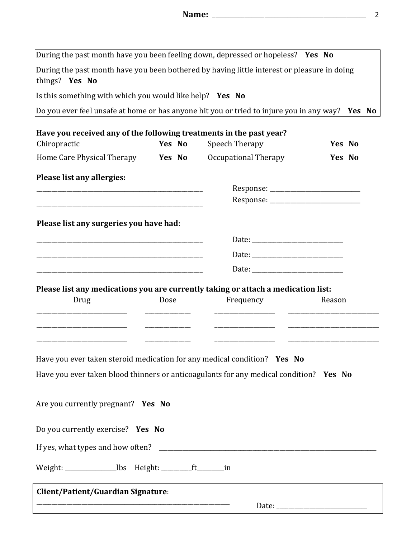| During the past month have you been bothered by having little interest or pleasure in doing     |               | During the past month have you been feeling down, depressed or hopeless? Yes No |        |  |
|-------------------------------------------------------------------------------------------------|---------------|---------------------------------------------------------------------------------|--------|--|
| things? Yes No                                                                                  |               |                                                                                 |        |  |
| Is this something with which you would like help? Yes No                                        |               |                                                                                 |        |  |
| Do you ever feel unsafe at home or has anyone hit you or tried to injure you in any way? Yes No |               |                                                                                 |        |  |
| Have you received any of the following treatments in the past year?                             |               |                                                                                 |        |  |
| Chiropractic                                                                                    | Yes No        | Speech Therapy                                                                  | Yes No |  |
| Home Care Physical Therapy                                                                      | <b>Yes</b> No | Occupational Therapy                                                            | Yes No |  |
| Please list any allergies:                                                                      |               |                                                                                 |        |  |
|                                                                                                 |               |                                                                                 |        |  |
|                                                                                                 |               |                                                                                 |        |  |
|                                                                                                 |               |                                                                                 |        |  |
| Please list any surgeries you have had:                                                         |               |                                                                                 |        |  |
|                                                                                                 |               |                                                                                 |        |  |
|                                                                                                 |               |                                                                                 |        |  |
|                                                                                                 |               |                                                                                 |        |  |
| Please list any medications you are currently taking or attach a medication list:               |               |                                                                                 |        |  |
| Drug                                                                                            | Dose          | Frequency                                                                       |        |  |
|                                                                                                 |               |                                                                                 | Reason |  |
|                                                                                                 |               |                                                                                 |        |  |
|                                                                                                 |               |                                                                                 |        |  |
|                                                                                                 |               |                                                                                 |        |  |
| Have you ever taken steroid medication for any medical condition? Yes No                        |               |                                                                                 |        |  |
| Have you ever taken blood thinners or anticoagulants for any medical condition? Yes No          |               |                                                                                 |        |  |
|                                                                                                 |               |                                                                                 |        |  |
| Are you currently pregnant? Yes No                                                              |               |                                                                                 |        |  |
|                                                                                                 |               |                                                                                 |        |  |
| Do you currently exercise? Yes No                                                               |               |                                                                                 |        |  |
|                                                                                                 |               |                                                                                 |        |  |
| Weight: __________________lbs Height: _________ft________in                                     |               |                                                                                 |        |  |
| Client/Patient/Guardian Signature:                                                              |               |                                                                                 |        |  |